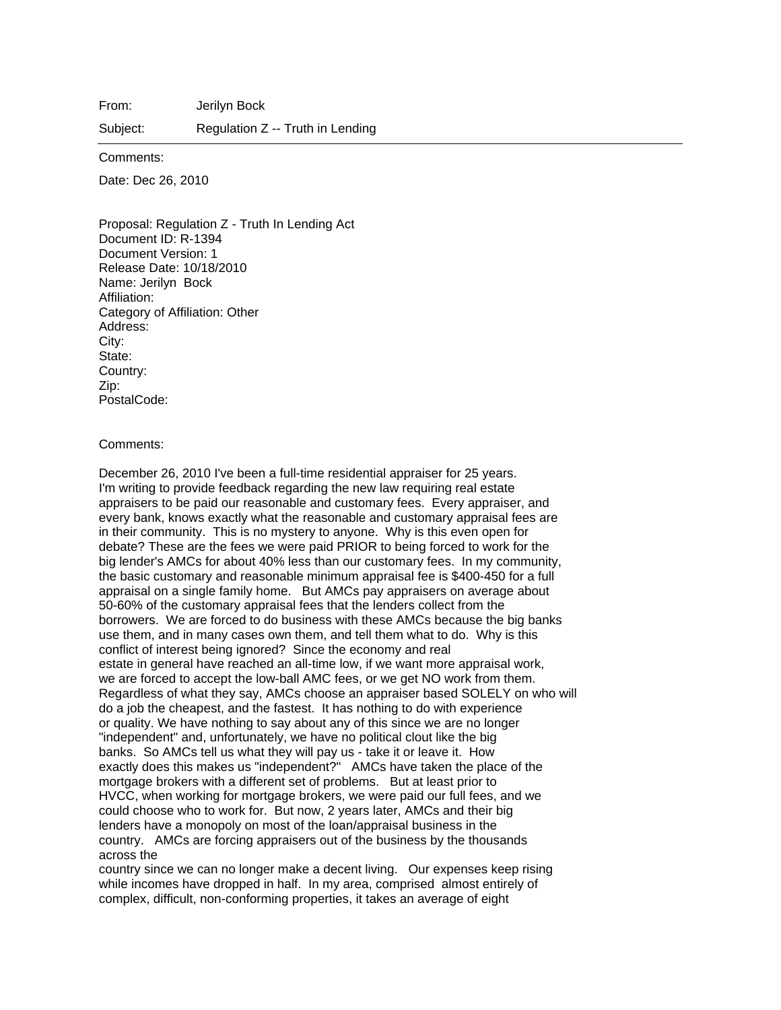From: Jerilyn Bock

Subject: Regulation Z -- Truth in Lending

Comments:

Date: Dec 26, 2010

Proposal: Regulation Z - Truth In Lending Act Document ID: R-1394 Document Version: 1 Release Date: 10/18/2010 Name: Jerilyn Bock Affiliation: Category of Affiliation: Other Address: City: State: Country: Zip: PostalCode:

## Comments:

December 26, 2010 I've been a full-time residential appraiser for 25 years. I'm writing to provide feedback regarding the new law requiring real estate appraisers to be paid our reasonable and customary fees. Every appraiser, and every bank, knows exactly what the reasonable and customary appraisal fees are in their community. This is no mystery to anyone. Why is this even open for debate? These are the fees we were paid PRIOR to being forced to work for the big lender's AMCs for about 40% less than our customary fees. In my community, the basic customary and reasonable minimum appraisal fee is \$400-450 for a full appraisal on a single family home. But AMCs pay appraisers on average about 50-60% of the customary appraisal fees that the lenders collect from the borrowers. We are forced to do business with these AMCs because the big banks use them, and in many cases own them, and tell them what to do. Why is this conflict of interest being ignored? Since the economy and real estate in general have reached an all-time low, if we want more appraisal work, we are forced to accept the low-ball AMC fees, or we get NO work from them. Regardless of what they say, AMCs choose an appraiser based SOLELY on who will do a job the cheapest, and the fastest. It has nothing to do with experience or quality. We have nothing to say about any of this since we are no longer "independent" and, unfortunately, we have no political clout like the big banks. So AMCs tell us what they will pay us - take it or leave it. How exactly does this makes us "independent?" AMCs have taken the place of the mortgage brokers with a different set of problems. But at least prior to HVCC, when working for mortgage brokers, we were paid our full fees, and we could choose who to work for. But now, 2 years later, AMCs and their big lenders have a monopoly on most of the loan/appraisal business in the country. AMCs are forcing appraisers out of the business by the thousands across the

country since we can no longer make a decent living. Our expenses keep rising while incomes have dropped in half. In my area, comprised almost entirely of complex, difficult, non-conforming properties, it takes an average of eight